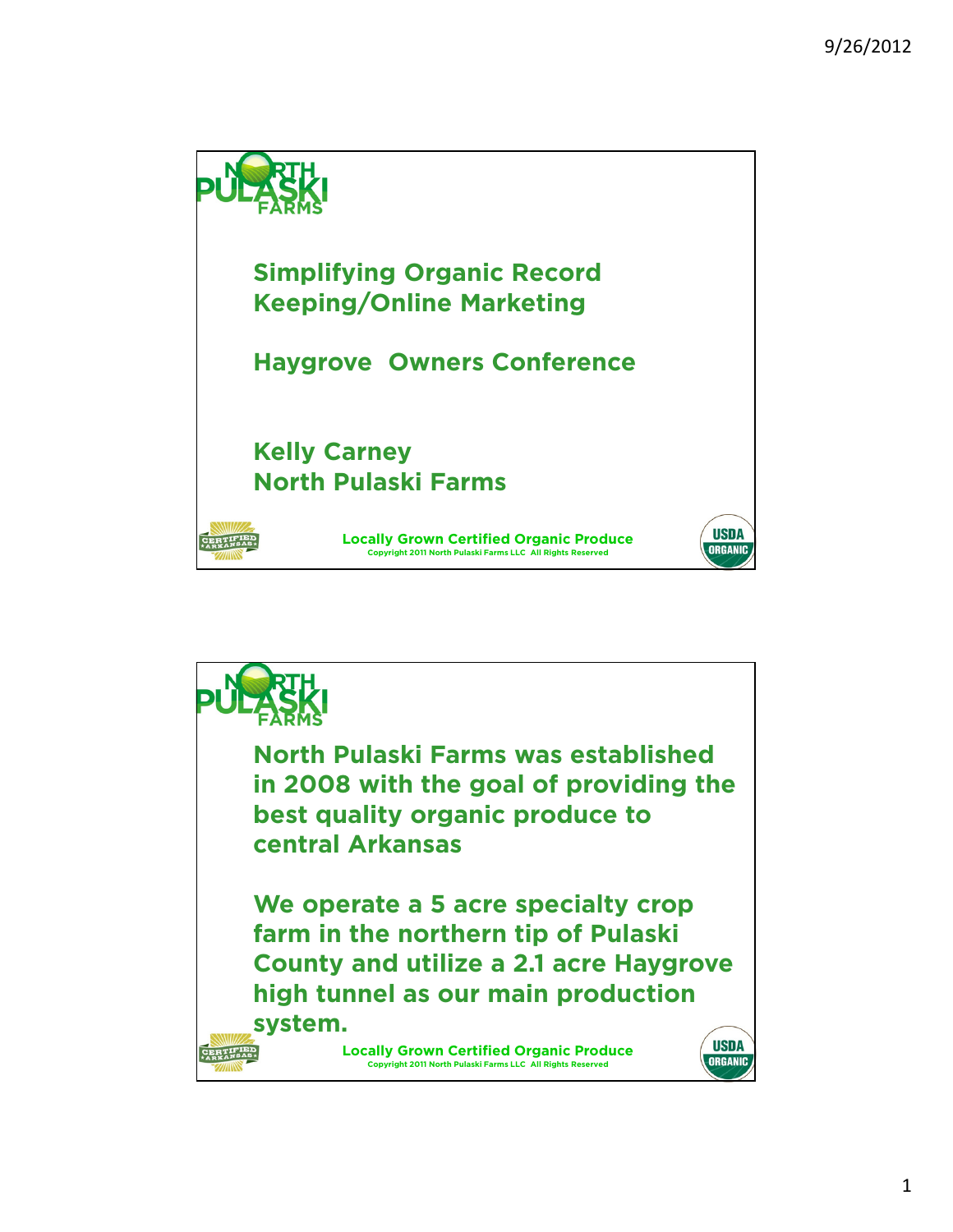

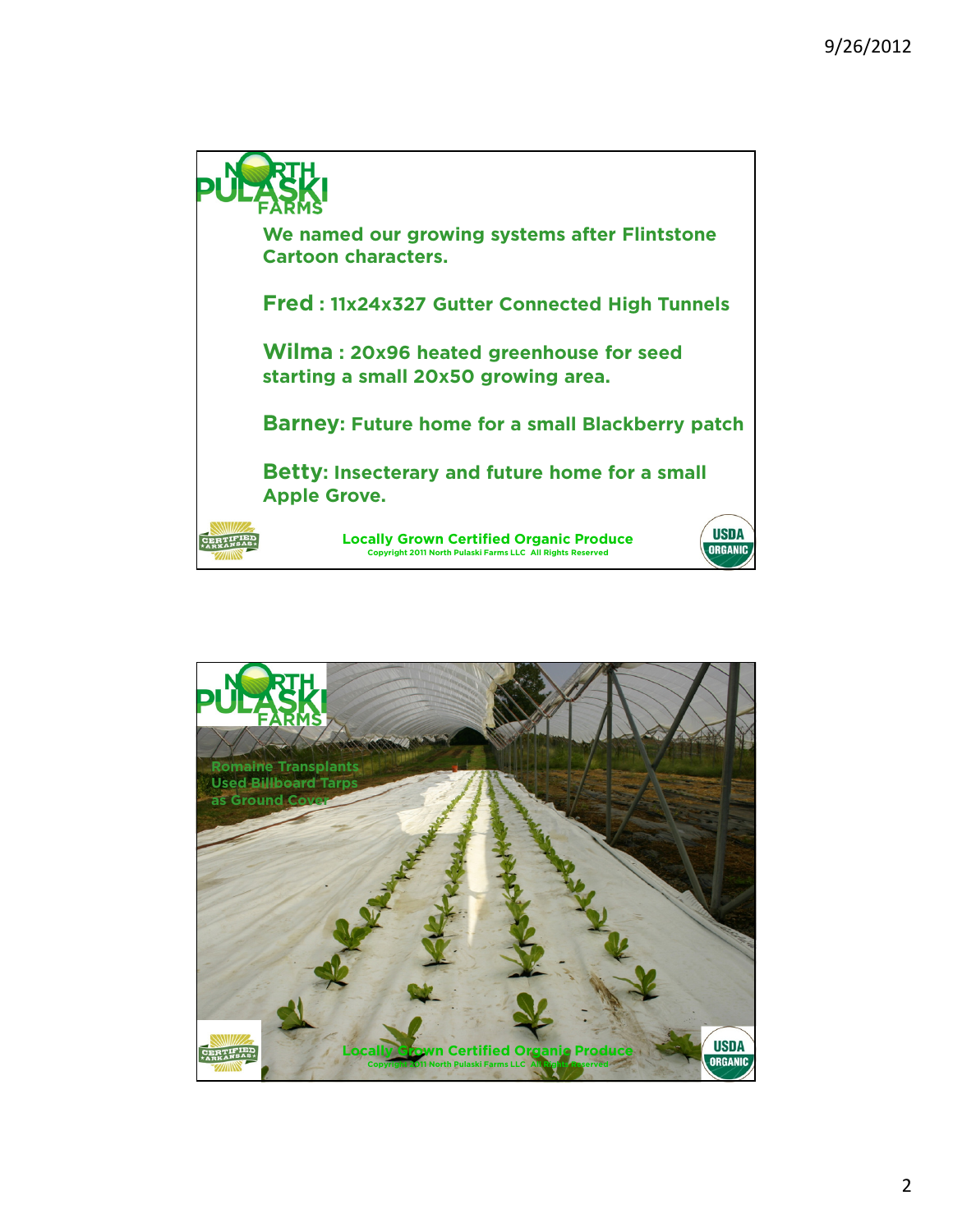

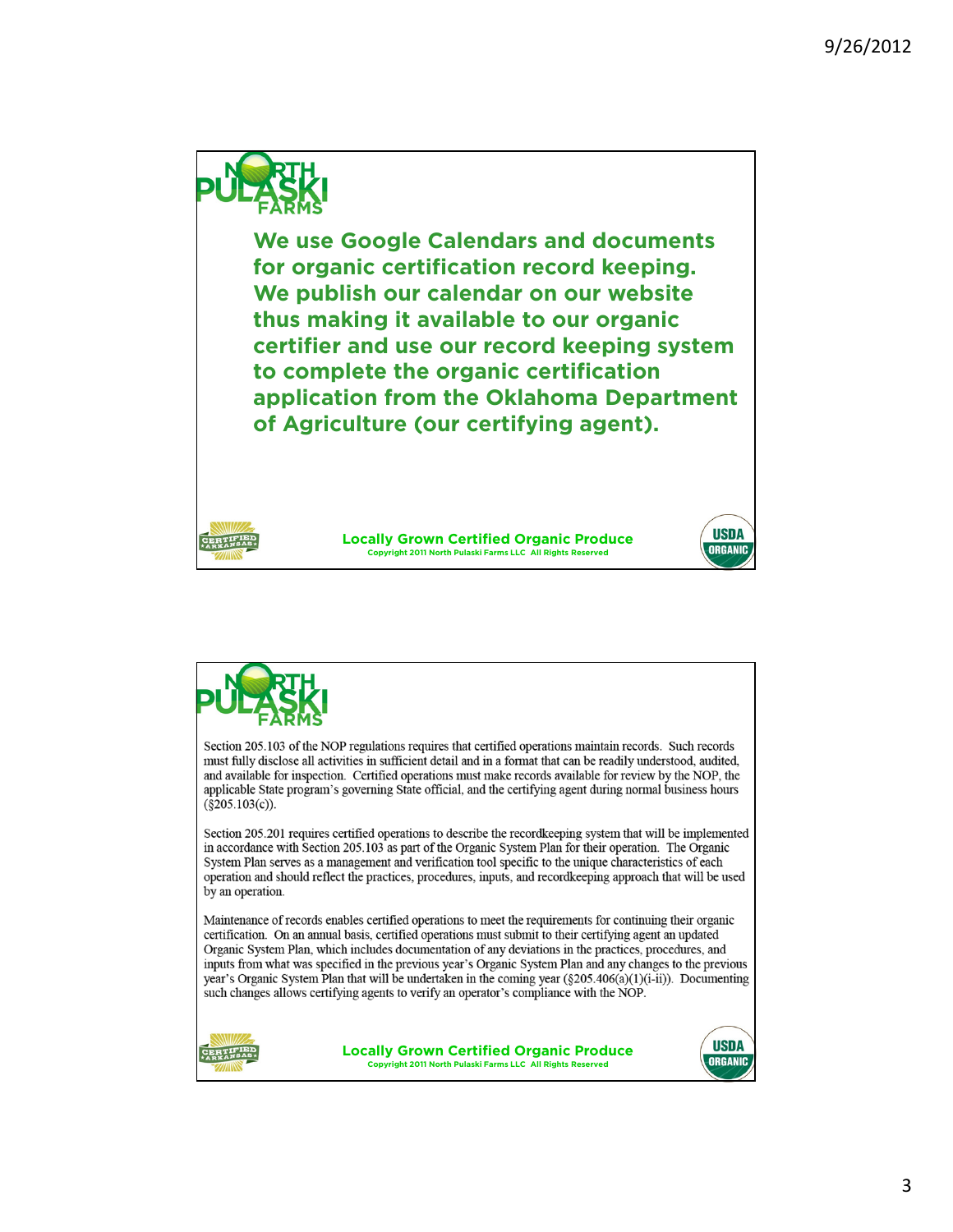

**We use Google Calendars and documents for organic certification record keeping. We publish our calendar on our website thus making it available to our organic certifier and use our record keeping system to complete the organic certification application from the Oklahoma Department of Agriculture (our certifying agent).**

> **Locally Grown Certified Organic Produce Copyright 2011 North Pulaski Farms LLC All Rights Reserved**



Section 205.103 of the NOP regulations requires that certified operations maintain records. Such records must fully disclose all activities in sufficient detail and in a format that can be readily understood, audited, and available for inspection. Certified operations must make records available for review by the NOP, the applicable State program's governing State official, and the certifying agent during normal business hours  $(\$205.103(c))$ .

Section 205.201 requires certified operations to describe the recordkeeping system that will be implemented in accordance with Section 205.103 as part of the Organic System Plan for their operation. The Organic System Plan serves as a management and verification tool specific to the unique characteristics of each operation and should reflect the practices, procedures, inputs, and recordkeeping approach that will be used by an operation.

Maintenance of records enables certified operations to meet the requirements for continuing their organic certification. On an annual basis, certified operations must submit to their certifying agent an updated Organic System Plan, which includes documentation of any deviations in the practices, procedures, and inputs from what was specified in the previous year's Organic System Plan and any changes to the previous year's Organic System Plan that will be undertaken in the coming year (§205.406(a)(1)(i-ii)). Documenting such changes allows certifying agents to verify an operator's compliance with the NOP.



**Locally Grown Certified Organic Produce Copyright 2011 North Pulaski Farms LLC All Rights Reserved**



**USDA** ORGANIC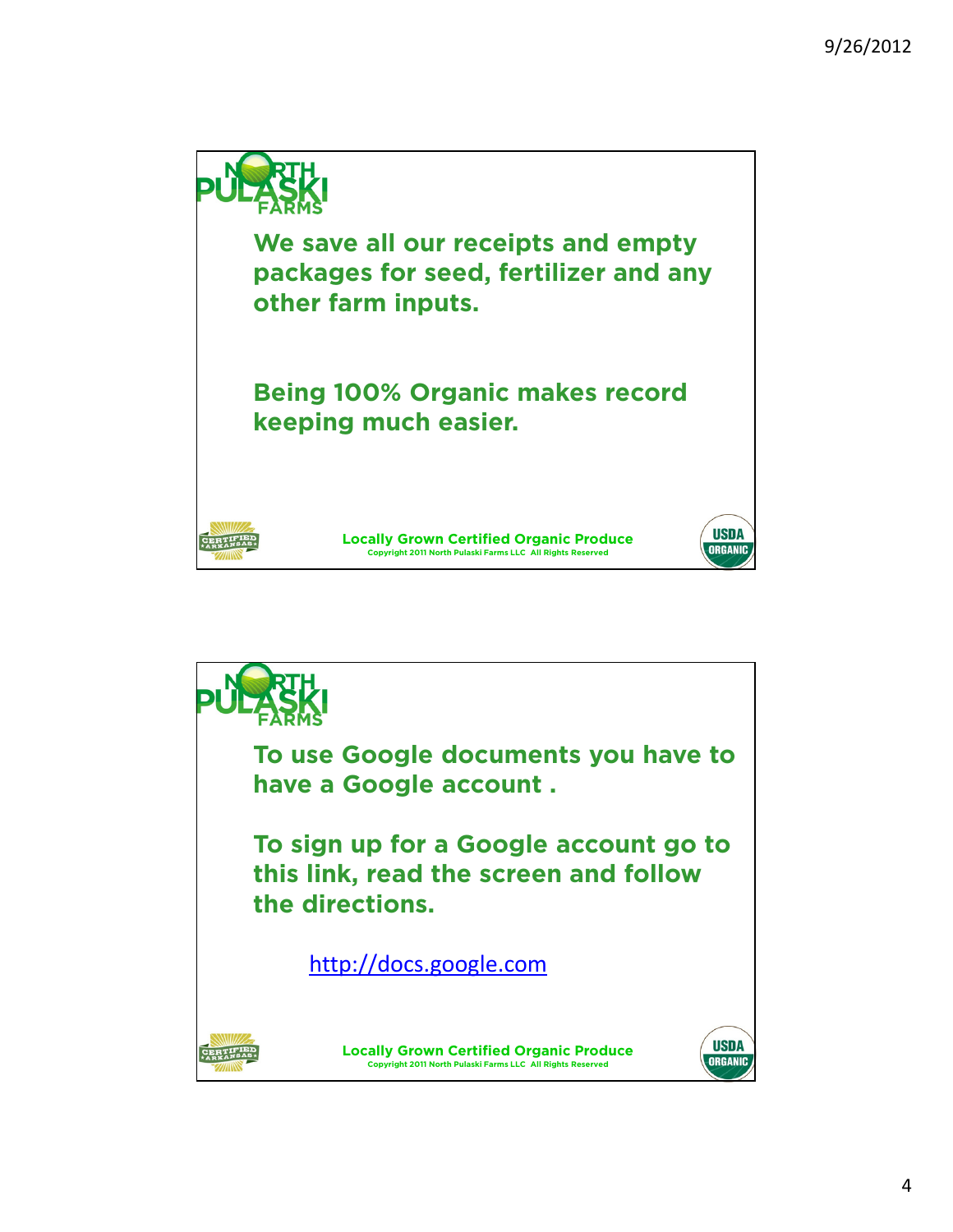

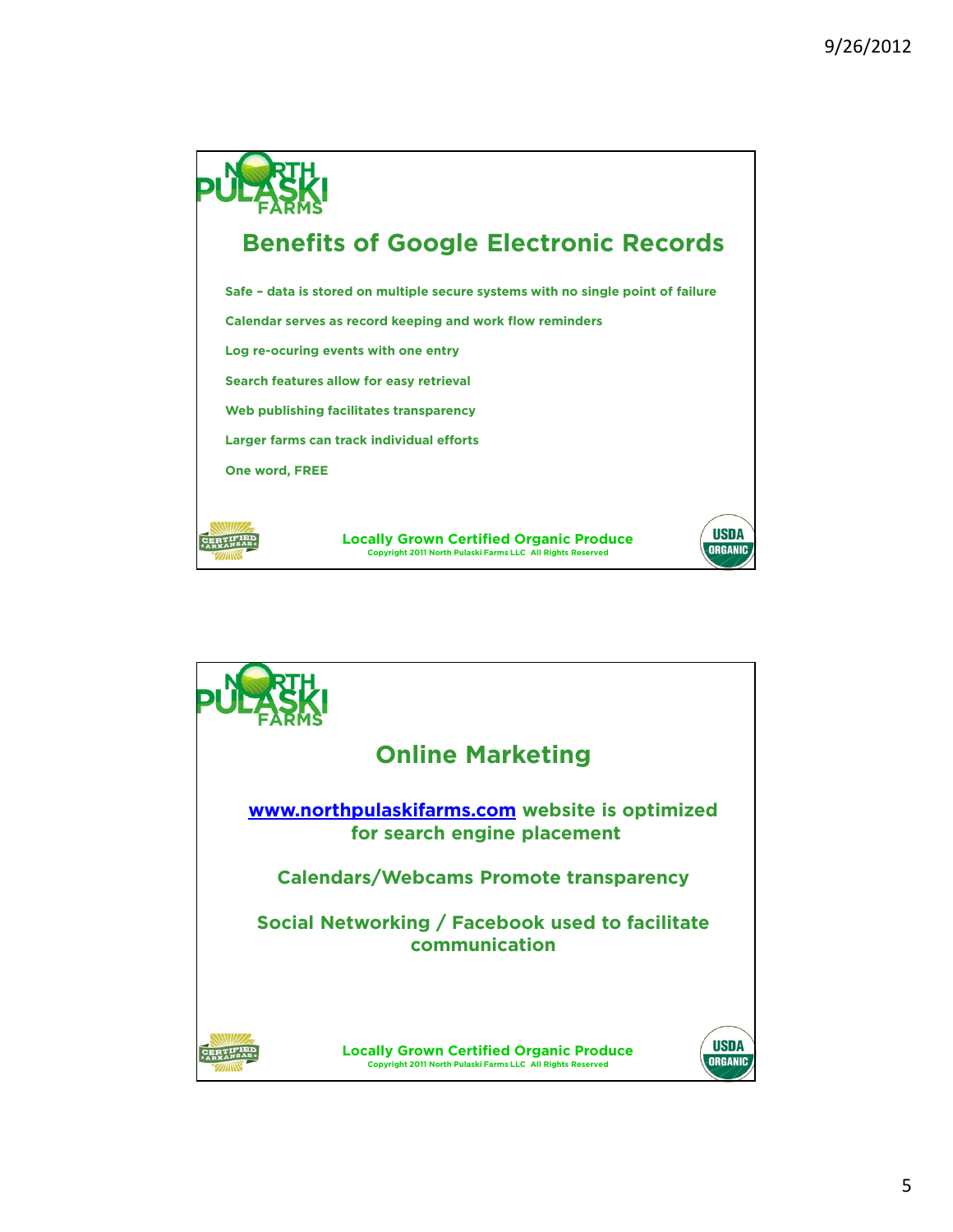

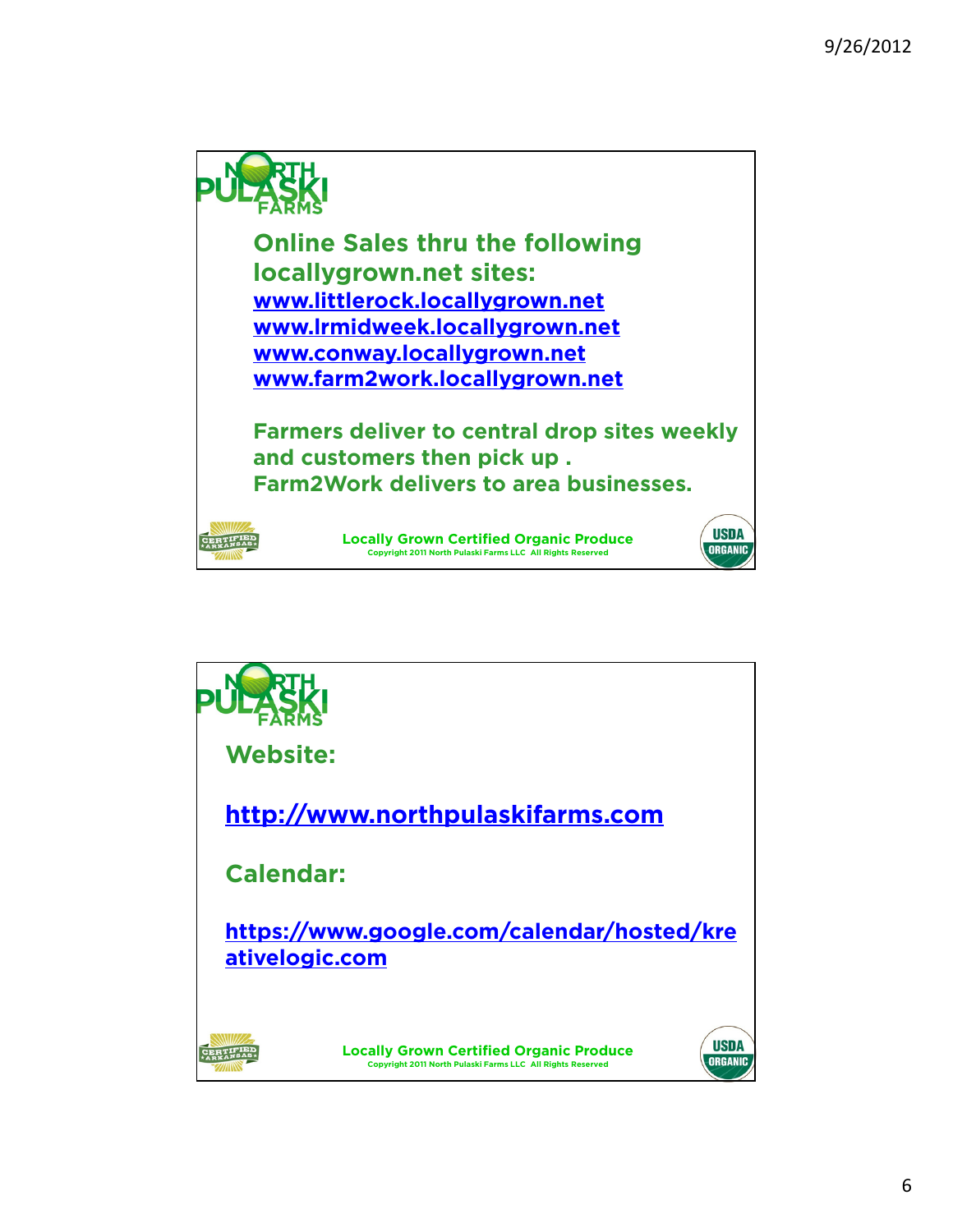